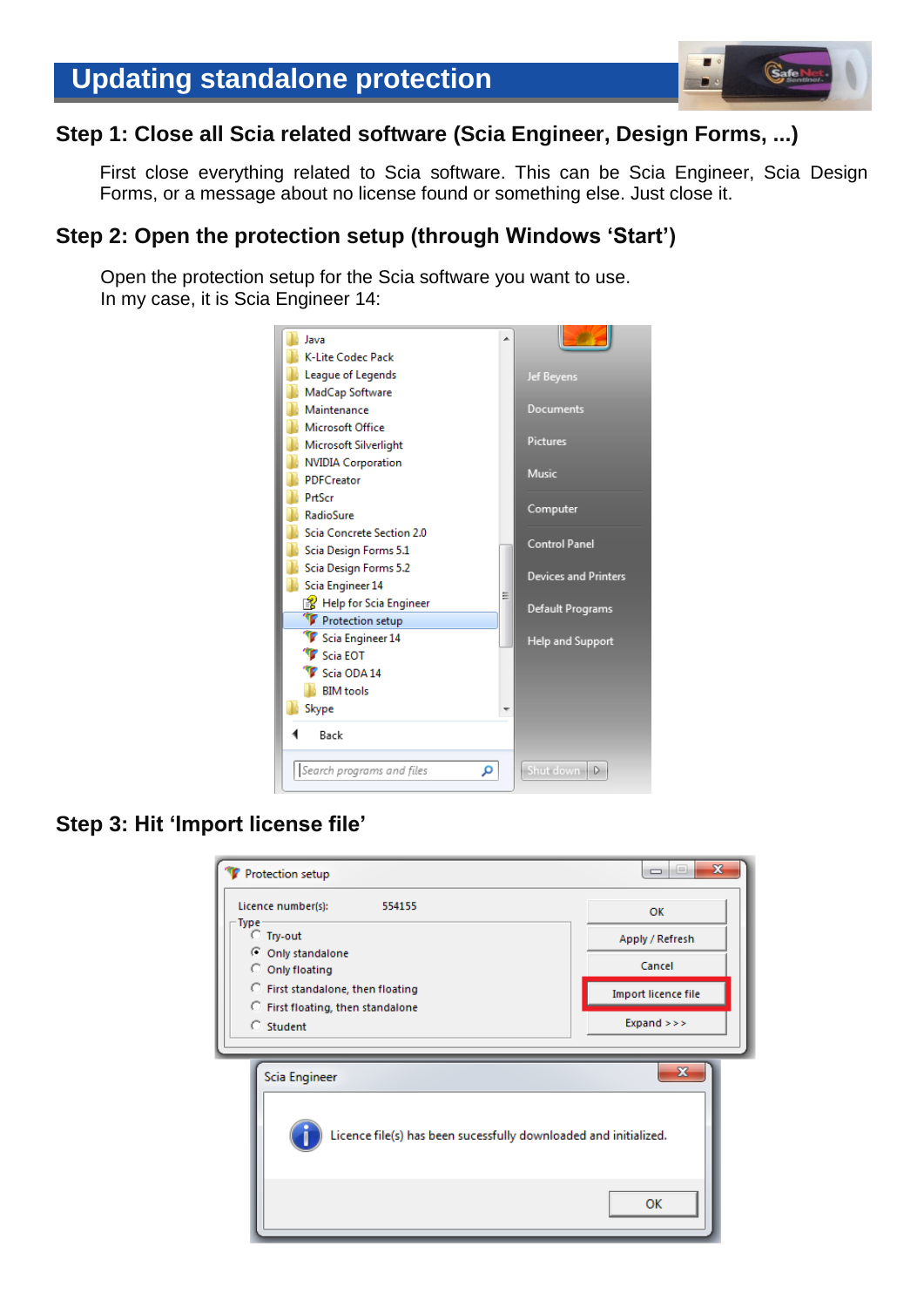# **Step 1: Close all Scia related software (Scia Engineer, Design Forms, ...)**

First close everything related to Scia software. This can be Scia Engineer, Scia Design Forms, or a message about no license found or something else. Just close it.

# **Step 2: Open the protection setup (through Windows 'Start')**

Open the protection setup for the Scia software you want to use. In my case, it is Scia Engineer 14:



# **Step 3: Hit 'Import license file'**

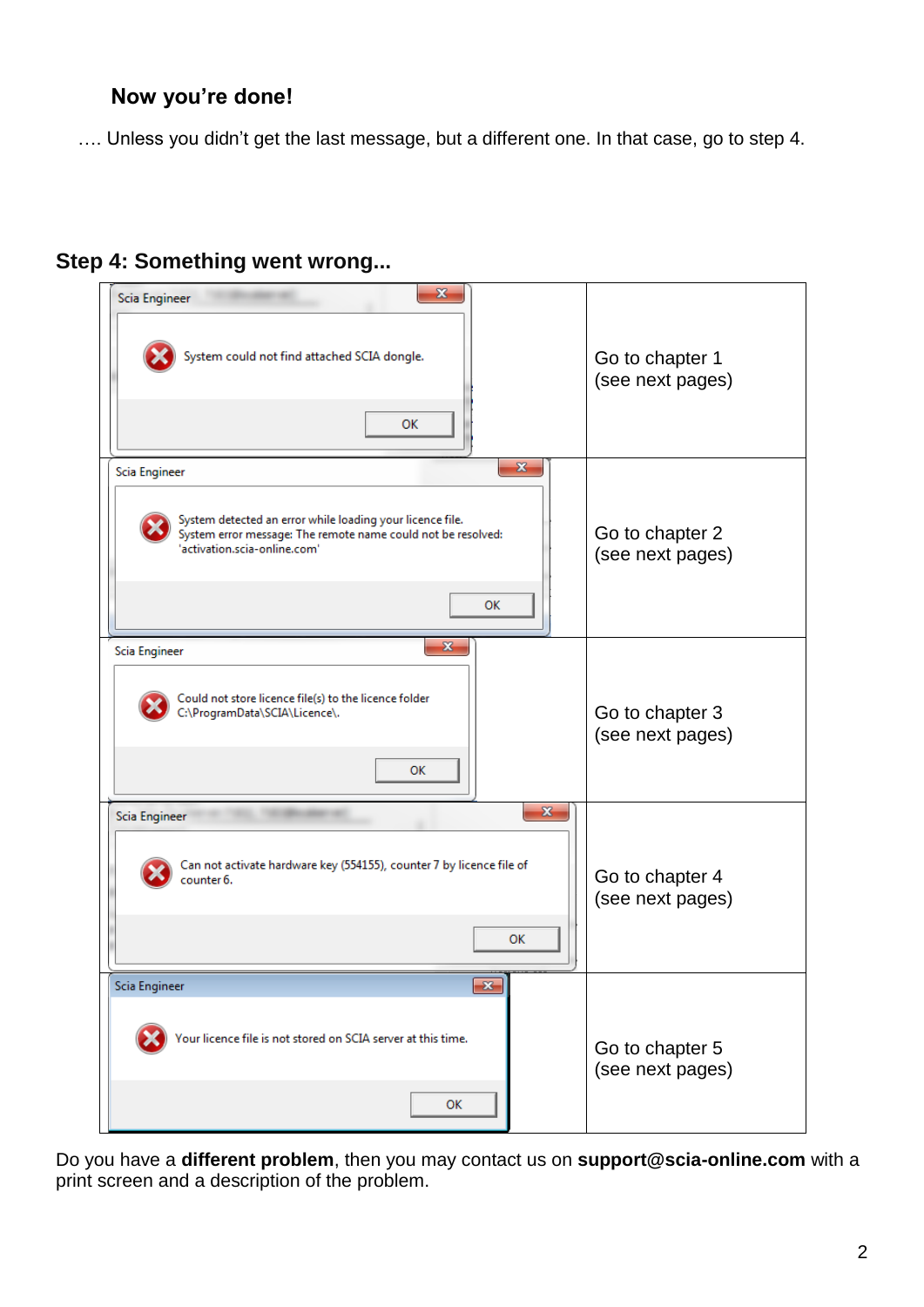# **Now you're done!**

…. Unless you didn't get the last message, but a different one. In that case, go to step 4.

# **Step 4: Something went wrong...**

| $\mathbf{x}$<br>Scia Engineer<br>System could not find attached SCIA dongle.<br>ОΚ                                                                                                               | Go to chapter 1<br>(see next pages) |
|--------------------------------------------------------------------------------------------------------------------------------------------------------------------------------------------------|-------------------------------------|
| $\mathbf{x}$<br>Scia Engineer<br>System detected an error while loading your licence file.<br>System error message: The remote name could not be resolved:<br>'activation.scia-online.com'<br>OK | Go to chapter 2<br>(see next pages) |
| $\mathbf{x}$<br>Scia Engineer<br>Could not store licence file(s) to the licence folder<br>C:\ProgramData\SCIA\Licence\.<br>ок                                                                    | Go to chapter 3<br>(see next pages) |
| $\mathbf{x}$<br>Scia Engineer<br>Can not activate hardware key (554155), counter 7 by licence file of<br>counter 6.<br>OK                                                                        | Go to chapter 4<br>(see next pages) |
| Scia Engineer<br>$\mathbf{x}$<br>Your licence file is not stored on SCIA server at this time.<br><b>OK</b>                                                                                       | Go to chapter 5<br>(see next pages) |

Do you have a **different problem**, then you may contact us on **[support@scia-online.com](mailto:support@scia-online.com)** with a print screen and a description of the problem.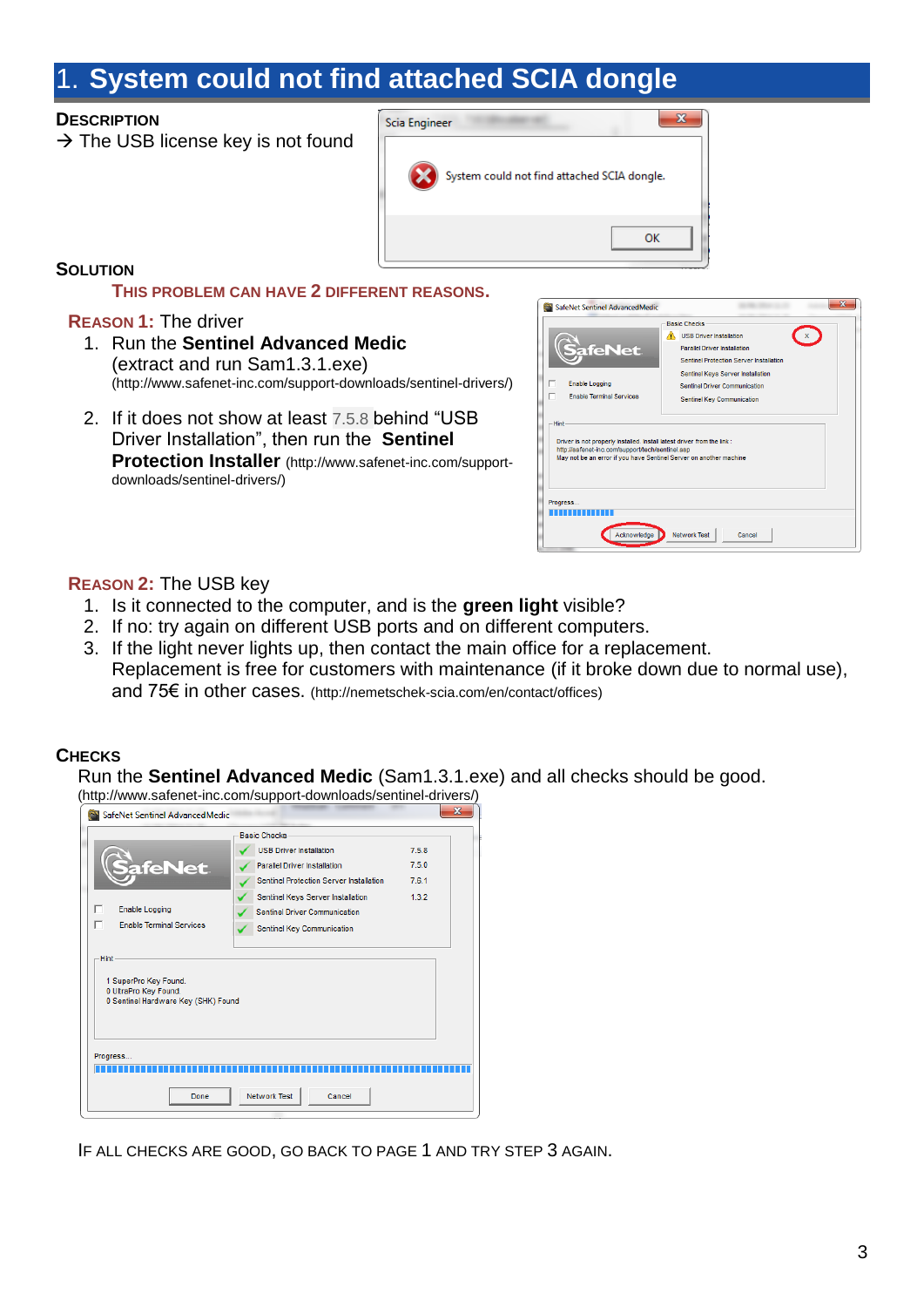# <span id="page-2-0"></span>1. **System could not find attached SCIA dongle**

## **DESCRIPTION**

 $\rightarrow$  The USB license key is not found



# **SOLUTION**

#### **THIS PROBLEM CAN HAVE 2 DIFFERENT REASONS.**

## **REASON 1:** The driver

- 1. Run the **Sentinel Advanced Medic** (extract and run Sam1.3.1.exe) (http://www.safenet-inc.com/support-downloads/sentinel-drivers/)
- 2. If it does not show at least 7.5.8 behind "USB Driver Installation", then run the **Sentinel Protection Installer** [\(http://www.safenet-inc.com/support](http://www.safenet-inc.com/support-downloads/sentinel-drivers/)[downloads/sentinel-drivers/\)](http://www.safenet-inc.com/support-downloads/sentinel-drivers/)

| SafeNet Sentinel AdvancedMedic                                                                                                                                                                                                                                                              | x                                                                                                                                                                                                                                                  |
|---------------------------------------------------------------------------------------------------------------------------------------------------------------------------------------------------------------------------------------------------------------------------------------------|----------------------------------------------------------------------------------------------------------------------------------------------------------------------------------------------------------------------------------------------------|
| <b>afeNet</b><br><b>Enable Logging</b><br>ℸ<br><b>Fnable Terminal Services</b><br>-Hint<br>Driver is not properly Installed. Install latest driver from the link:<br>http://safenet-inc.com/support/tech/sentinel.asp<br>May not be an error if you have Sentinel Server on another machine | <b>Basic Checks</b><br><b>USB Driver Installation</b><br><b>Parallel Driver Installation</b><br>Sentinel Protection Server Installation<br>Sentinel Keys Server Installation<br><b>Sentinel Driver Communication</b><br>Sentinel Key Communication |
| Progress<br>Acknowledge                                                                                                                                                                                                                                                                     | <b>Network Test</b><br>Cancel                                                                                                                                                                                                                      |

## **REASON 2:** The USB key

- 1. Is it connected to the computer, and is the **green light** visible?
- 2. If no: try again on different USB ports and on different computers.
- 3. If the light never lights up, then contact the main office for a replacement. Replacement is free for customers with maintenance (if it broke down due to normal use), and 75€ in other cases. [\(http://nemetschek-scia.com/en/contact/offices\)](http://nemetschek-scia.com/en/contact/offices)

# **CHECKS**

Run the **Sentinel Advanced Medic** (Sam1.3.1.exe) and all checks should be good.

(http://www.safenet-inc.com/support-downloads/sentinel-drivers/)

| SafeNet Sentinel AdvancedMedic                                                                       |                                                                                                                  |                         | х |
|------------------------------------------------------------------------------------------------------|------------------------------------------------------------------------------------------------------------------|-------------------------|---|
|                                                                                                      | <b>Basic Checks</b>                                                                                              |                         |   |
| afeNet                                                                                               | <b>USB Driver Installation</b><br><b>Parallel Driver Installation</b><br>Sentinel Protection Server Installation | 7.5.8<br>7.5.0<br>7.6.1 |   |
| г<br><b>Enable Logging</b><br>г<br><b>Enable Terminal Services</b>                                   | Sentinel Keys Server Installation<br><b>Sentinel Driver Communication</b><br>Sentinel Key Communication          | 1.3.2                   |   |
| <b>Hint</b><br>1 SuperPro Key Found.<br>0 UltraPro Key Found.<br>0 Sentinel Hardware Key (SHK) Found |                                                                                                                  |                         |   |
| Progress<br>Done                                                                                     | <b>Network Test</b><br>Cancel                                                                                    |                         |   |
|                                                                                                      |                                                                                                                  |                         |   |

IF ALL CHECKS ARE GOOD, GO BACK TO PAGE 1 AND TRY STEP 3 AGAIN.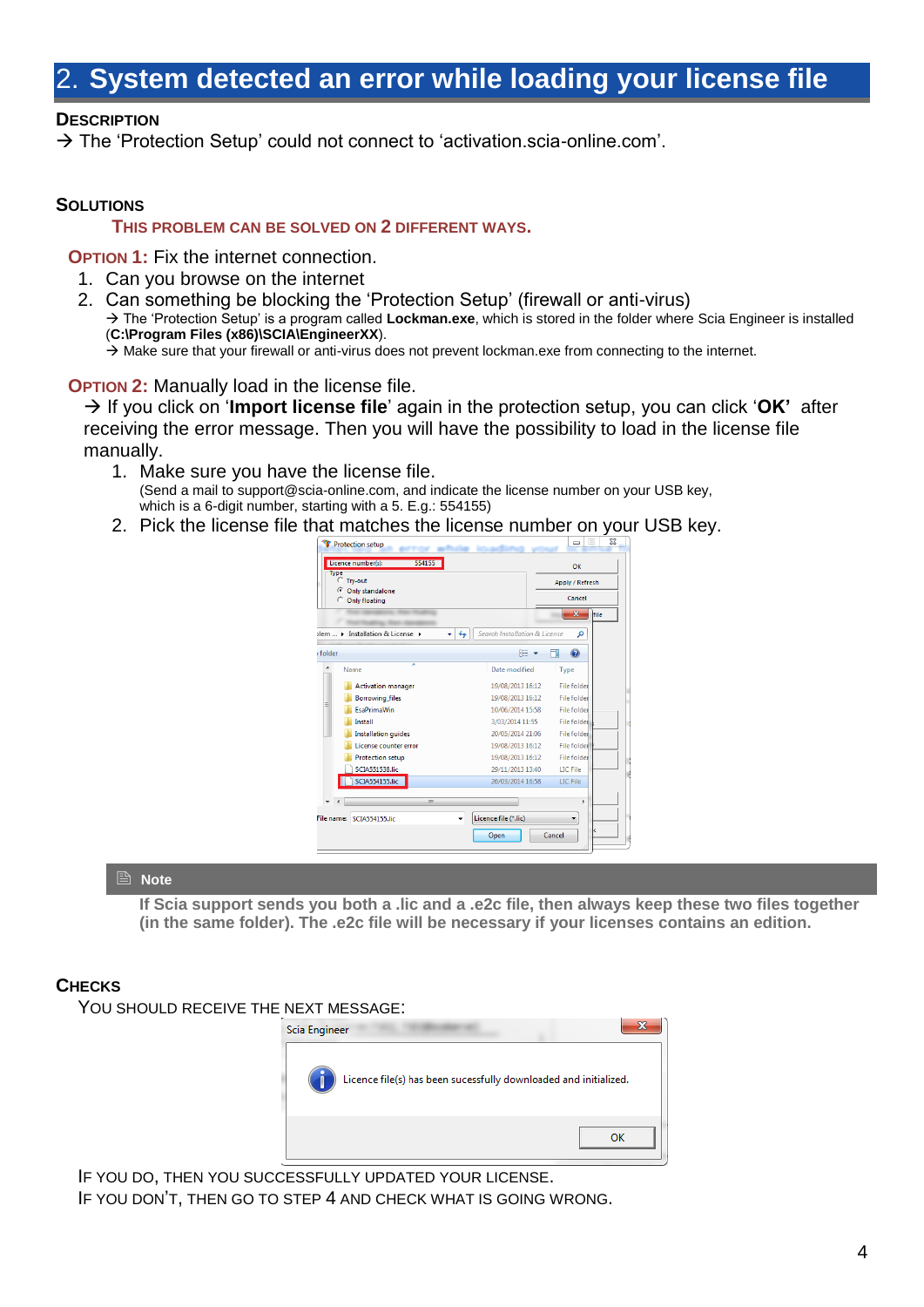# <span id="page-3-0"></span>**System detected an error while loading your license file**

## **DESCRIPTION**

 $\rightarrow$  The 'Protection Setup' could not connect to 'activation.scia-online.com'.

#### **SOLUTIONS**

#### **THIS PROBLEM CAN BE SOLVED ON 2 DIFFERENT WAYS.**

 **OPTION 1:** Fix the internet connection.

- 1. Can you browse on the internet
- 2. Can something be blocking the 'Protection Setup' (firewall or anti-virus) → The 'Protection Setup' is a program called **Lockman.exe**, which is stored in the folder where Scia Engineer is installed (**C:\Program Files (x86)\SCIA\EngineerXX**).  $\rightarrow$  Make sure that your firewall or anti-virus does not prevent lockman.exe from connecting to the internet.

**OPTION 2:** Manually load in the license file.

→ If you click on '**Import license file**' again in the protection setup, you can click 'OK' after receiving the error message. Then you will have the possibility to load in the license file manually.

- 1. Make sure you have the license file. (Send a mail to [support@scia-online.com,](mailto:support@scia-online.com) and indicate the license number on your USB key, which is a 6-digit number, starting with a 5. E.g.: 554155)
- 2. Pick the license file that matches the license number on your USB key.

|                 | Protection setup                 |                                                             | $\Box$<br>$\equiv$              |  |
|-----------------|----------------------------------|-------------------------------------------------------------|---------------------------------|--|
|                 | 554155<br>Licence number(s):     |                                                             | OK                              |  |
| <b>Type</b>     | C Trv-out                        |                                                             |                                 |  |
|                 | C Only standalone                |                                                             | Apply / Refresh                 |  |
| C Only floating |                                  |                                                             | Cancel                          |  |
|                 |                                  |                                                             | $\overline{\mathbf{x}}$<br>file |  |
|                 | vlem  > Installation & License > | Search Installation & License<br>$\boldsymbol{\mathcal{L}}$ | م                               |  |
| folder          |                                  | 胆                                                           | $\circledcirc$                  |  |
|                 | Name                             | Date modified                                               | Type                            |  |
|                 | <b>Activation manager</b>        | 19/08/2013 16:12                                            | <b>File folder</b>              |  |
|                 | <b>Borrowing files</b>           | 19/08/2013 16:12                                            | <b>File folder</b>              |  |
| Ξ               | <b>FsaPrimaWin</b>               | 10/06/2014 15:58                                            | <b>File folder</b>              |  |
|                 | Install                          | 3/03/2014 11:55                                             | File folder                     |  |
|                 | <b>Installation quides</b>       | 20/05/2014 21:06                                            | <b>File folder</b>              |  |
|                 | License counter error            | 19/08/2013 16:12                                            | <b>File folder</b>              |  |
|                 | Protection setup                 | 19/08/2013 16:12                                            | <b>File folder</b>              |  |
|                 | <b>SCIA551538.lic</b>            | 29/11/2013 13:40                                            | <b>LIC</b> File                 |  |
|                 | SCIA554155.lic                   | 26/03/2014 16:58                                            | <b>LIC</b> File                 |  |
|                 |                                  |                                                             |                                 |  |
|                 | Ш                                |                                                             | þ                               |  |
|                 | File name: SCIA554155.lic        | Licence file (*.lic)                                        |                                 |  |
|                 |                                  | Open                                                        | Cancel                          |  |
|                 |                                  |                                                             |                                 |  |

#### **A** Note

**If Scia support sends you both a .lic and a .e2c file, then always keep these two files together (in the same folder). The .e2c file will be necessary if your licenses contains an edition.**

#### **CHECKS**

YOU SHOULD RECEIVE THE NEXT MESSAGE:



IF YOU DO, THEN YOU SUCCESSFULLY UPDATED YOUR LICENSE. IF YOU DON'T, THEN GO TO STEP 4 AND CHECK WHAT IS GOING WRONG.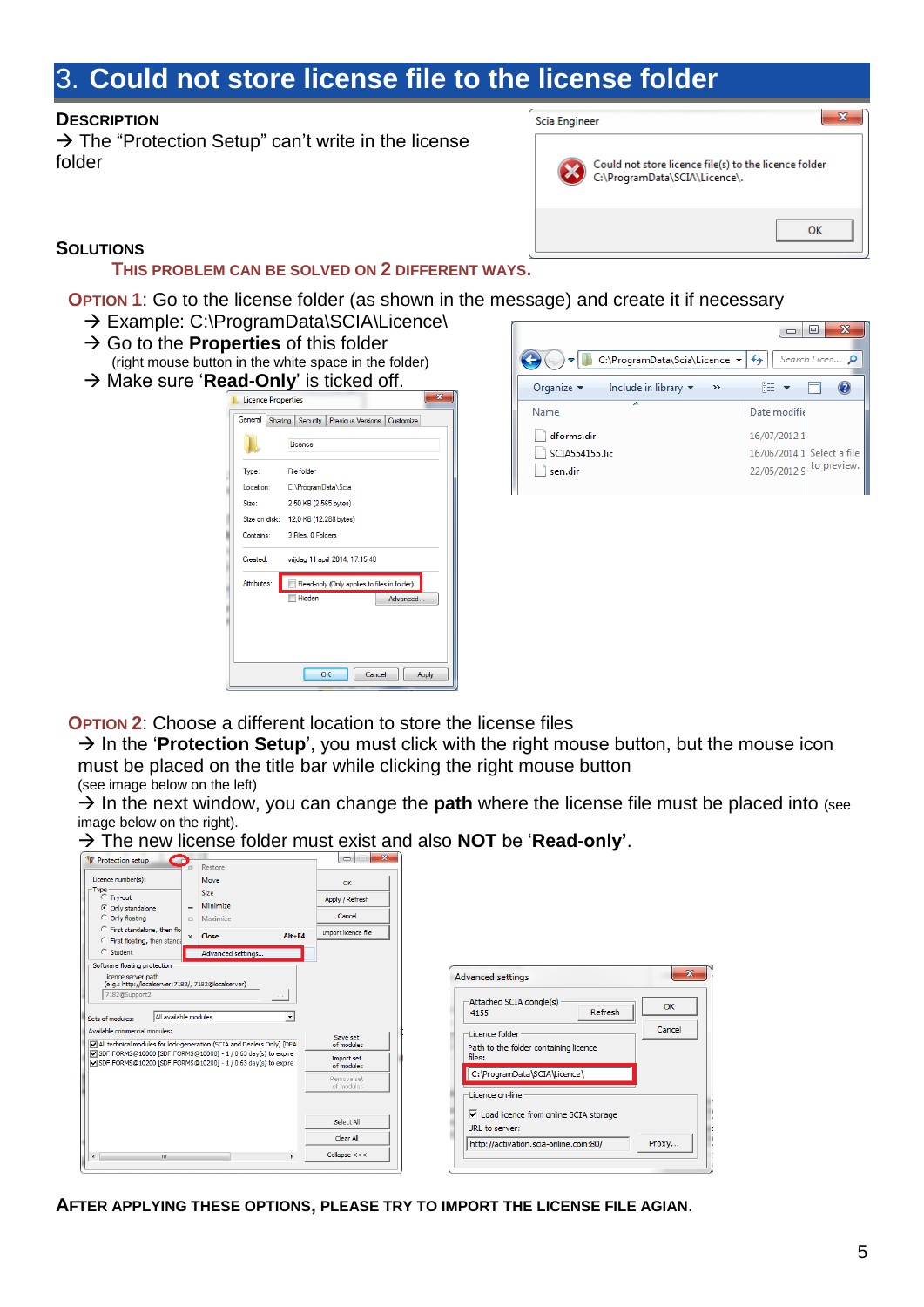# <span id="page-4-0"></span>3. **Could not store license file to the license folder**

#### **DESCRIPTION**

 $\rightarrow$  The "Protection Setup" can't write in the license folder



#### **SOLUTIONS**

#### **THIS PROBLEM CAN BE SOLVED ON 2 DIFFERENT WAYS.**

**OPTION 1:** Go to the license folder (as shown in the message) and create it if necessary

- → Example: C:\ProgramData\SCIA\Licence\
- → Go to the **Properties** of this folder
- (right mouse button in the white space in the folder) → Make sure '**Read-Only**' is ticked off.

| General                                                    | Sharing Security Previous Versions Customize |  |  |
|------------------------------------------------------------|----------------------------------------------|--|--|
|                                                            | Licence                                      |  |  |
| Type:                                                      | <b>File folder</b>                           |  |  |
| Location:                                                  | C:\ProgramData\Scia                          |  |  |
| Size:                                                      | 2,50 KB (2.565 bytes)                        |  |  |
|                                                            | Size on disk: 12,0 KB (12.288 bytes)         |  |  |
| Contains:                                                  | 3 Files, 0 Folders                           |  |  |
| Created:                                                   | vrijdag 11 april 2014, 17:15:48              |  |  |
| Attributes:<br>Read-only (Only applies to files in folder) |                                              |  |  |
|                                                            | Hidden<br>Advanced                           |  |  |
|                                                            |                                              |  |  |
|                                                            |                                              |  |  |
|                                                            |                                              |  |  |



 **OPTION 2**: Choose a different location to store the license files

 $\rightarrow$  In the '**Protection Setup**', you must click with the right mouse button, but the mouse icon must be placed on the title bar while clicking the right mouse button

(see image below on the left)

 $\rightarrow$  In the next window, you can change the **path** where the license file must be placed into (see image below on the right).

| Protection setup<br>œ                                                                                                                                                                                                  | Restore                                                                                                                                                                                                                             |                                               | $\mathbf{x}$<br>$\begin{array}{c} \square \end{array}$<br>$=$                  |                                                                                                                                                                                      |
|------------------------------------------------------------------------------------------------------------------------------------------------------------------------------------------------------------------------|-------------------------------------------------------------------------------------------------------------------------------------------------------------------------------------------------------------------------------------|-----------------------------------------------|--------------------------------------------------------------------------------|--------------------------------------------------------------------------------------------------------------------------------------------------------------------------------------|
| Licence number(s):<br>Type<br>$C$ Try-out<br>C Only standalone<br>C Only floating<br>C First standalone, then flo<br>C First floating, then standa<br>C Student<br>Software floating protection<br>Licence server path | Move<br><b>Size</b><br>Minimize<br>Maximize<br>$\Box$<br>x Close<br>Advanced settings                                                                                                                                               | $Alt + F4$                                    | $\alpha$<br>Apply / Refresh<br>Cancel<br>Import licence file                   | $\mathbf{x}$<br><b>Advanced settings</b>                                                                                                                                             |
| (e.g.: http://localserver:7182/, 7182@localserver)<br>7182@Support2<br>Sets of modules:<br>Available commercial modules:                                                                                               | All available modules<br>All technical modules for lock-generation (SCIA and Dealers Only) [DEA<br>Ø SDF.FORMS@10000 [SDF.FORMS@10000] - 1 / 0 63 day(s) to expire<br>SDF.FORMS@10200 [SDF.FORMS@10200] - 1 / 0 63 day(s) to expire | $\sim$ 1.1 $\sim$<br>$\overline{\phantom{a}}$ | Save set<br>of modules<br>Import set<br>of modules<br>Remove set<br>of modules | Attached SCIA dongle(s)<br>OK<br>Refresh<br>4155<br>Cancel<br>-Licence folder<br>Path to the folder containing licence<br>files:<br>C: \ProgramData\SCIA\Licence\<br>Licence on-line |
| $\blacktriangleleft$<br>m.                                                                                                                                                                                             |                                                                                                                                                                                                                                     |                                               | Select All<br>Clear All<br>Collapse $<<$                                       | $\nabla$ Load licence from online SCIA storage<br>URL to server:<br>Proxy<br>http://activation.scia-online.com:80/                                                                   |

The new license folder must exist and also **NOT** be '**Read-only'**.

**AFTER APPLYING THESE OPTIONS, PLEASE TRY TO IMPORT THE LICENSE FILE AGIAN**.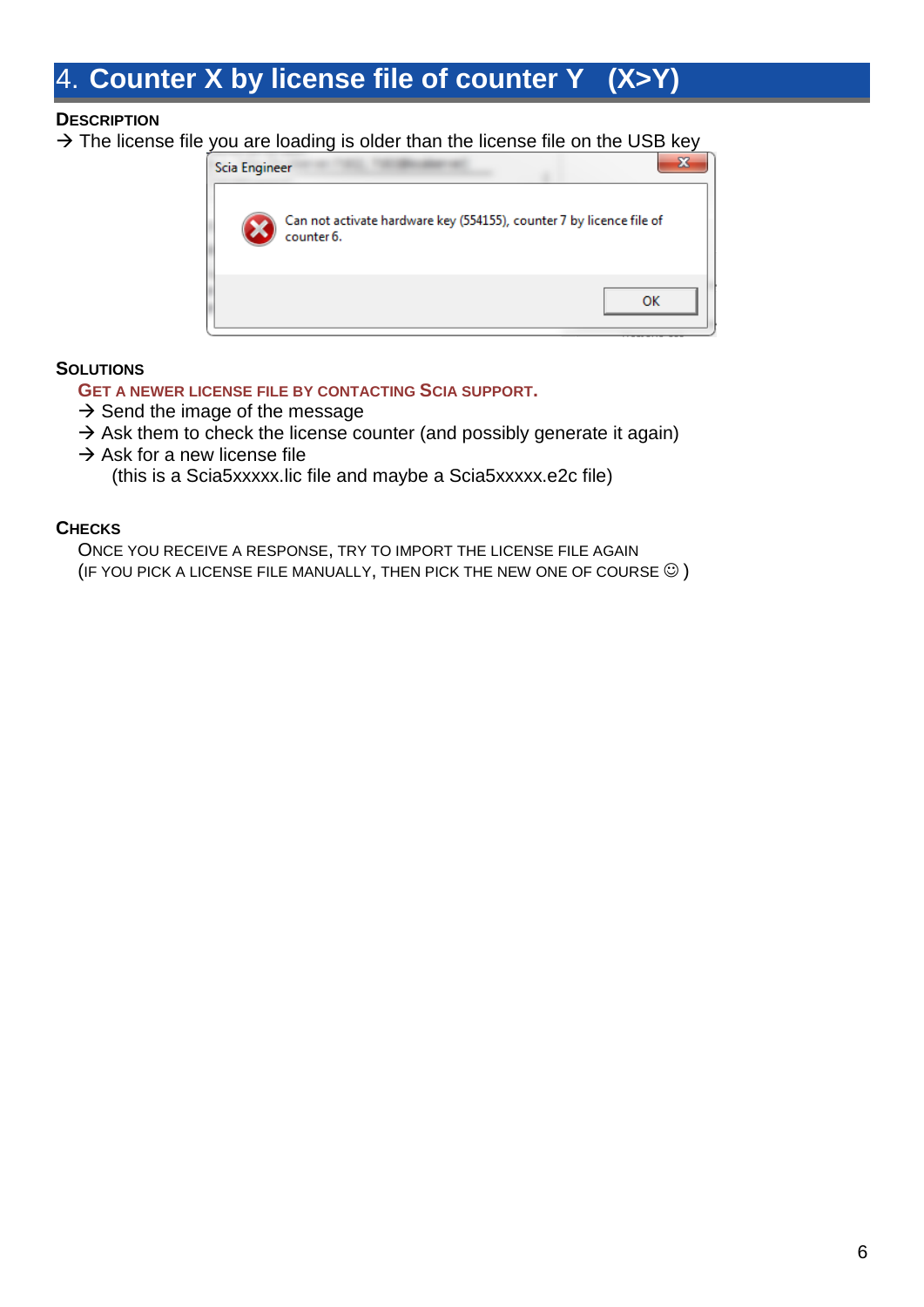# <span id="page-5-0"></span>4. **Counter X by license file of counter Y (X>Y)**

## **DESCRIPTION**

 $\rightarrow$  The license file you are loading is older than the license file on the USB key



## **SOLUTIONS**

#### **GET A NEWER LICENSE FILE BY CONTACTING SCIA SUPPORT.**

- $\rightarrow$  Send the image of the message
- $\rightarrow$  Ask them to check the license counter (and possibly generate it again)
- $\rightarrow$  Ask for a new license file

(this is a Scia5xxxxx.lic file and maybe a Scia5xxxxx.e2c file)

## **CHECKS**

ONCE YOU RECEIVE A RESPONSE, TRY TO IMPORT THE LICENSE FILE AGAIN (IF YOU PICK A LICENSE FILE MANUALLY, THEN PICK THE NEW ONE OF COURSE  $\odot$  )